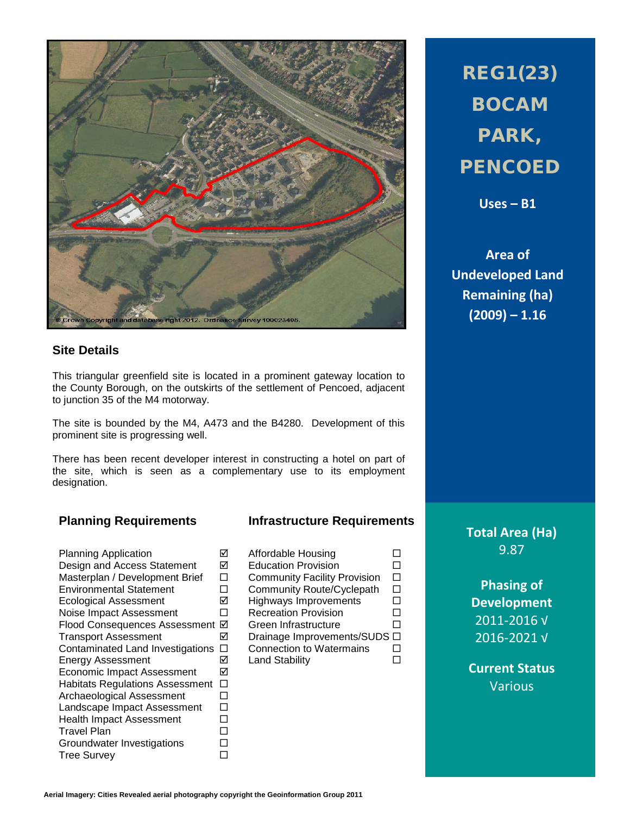

## **Site Details**

This triangular greenfield site is located in a prominent gateway location to the County Borough, on the outskirts of the settlement of Pencoed, adjacent to junction 35 of the M4 motorway.

The site is bounded by the M4, A473 and the B4280. Development of this prominent site is progressing well.

There has been recent developer interest in constructing a hotel on part of the site, which is seen as a complementary use to its employment designation.

Planning Application <br>
Design and Access Statement Ø Design and Access Statement  $\boxdot$ <br>Masterplan / Development Brief  $\Box$ Masterplan / Development Brief  $\Box$ <br>Environmental Statement  $\Box$ Environmental Statement Ecological Assessment  $\boxtimes$ Noise Impact Assessment  $\Box$ Flood Consequences Assessment  $\boxtimes$ Transport Assessment 
<sub> $\Box$ </sub> Contaminated Land Investigations  $\Box$ Energy Assessment  $\boxtimes$ Economic Impact Assessment **Ø** Habitats Regulations Assessment  $\Box$ <br>Archaeological Assessment  $\Box$ Archaeological Assessment Landscape Impact Assessment  $\square$ Health Impact Assessment  $\square$ <br>Travel Plan Travel Plan<br>Groundwater Investigations □ Groundwater Investigations Tree Survey **Data Control** 

## **Planning Requirements Infrastructure Requirements**

| Affordable Housing                  |   |
|-------------------------------------|---|
| <b>Education Provision</b>          |   |
| <b>Community Facility Provision</b> |   |
| Community Route/Cyclepath           |   |
| <b>Highways Improvements</b>        |   |
| <b>Recreation Provision</b>         |   |
| Green Infrastructure                |   |
| Drainage Improvements/SUDS          | □ |
| <b>Connection to Watermains</b>     |   |
| Land Stability                      |   |
|                                     |   |
|                                     |   |

REG1(23) BOCAM PARK, **PENCOED** 

**Uses – B1**

**Area of Undeveloped Land Remaining (ha) (2009) – 1.16**

**Total Area (Ha)** 9.87

**Phasing of Development** 2011-2016 √ 2016-2021 √

**Current Status** Various